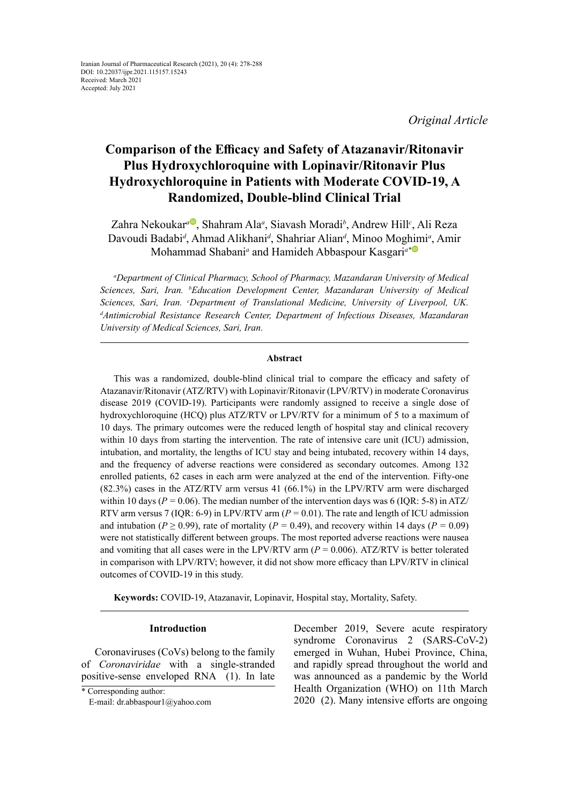*Original Article*

# **Comparison of the Efficacy and Safety of Atazanavir/Ritonavir Plus Hydroxychloroquine with Lopinavir/Ritonavir Plus Hydroxychloroquine in Patients with Moderate COVID-19, A Randomized, Double-blind Clinical Trial**

Z[a](https://orcid.org/0000-0003-2663-9024)hra Nekoukar<sup>a D</sup>, Shahram Ala<sup>a</sup>, Siavash Moradi<sup>b</sup>, Andrew Hill<sup>c</sup>, Ali Reza Davoudi Badabi*<sup>d</sup>* , Ahmad Alikhani*<sup>d</sup>* , Shahriar Alian*<sup>d</sup>* , Minoo Mog[him](https://orcid.org/0000-0002-6441-139X )i*<sup>a</sup>* , Amir Mohammad Shabani*<sup>a</sup>* and Hamideh Abbaspour Kasgari*a\**

*a Department of Clinical Pharmacy, School of Pharmacy, Mazandaran University of Medical Sciences, Sari, Iran. b Education Development Center, Mazandaran University of Medical Sciences, Sari, Iran. c Department of Translational Medicine, University of Liverpool, UK. d Antimicrobial Resistance Research Center, Department of Infectious Diseases, Mazandaran University of Medical Sciences, Sari, Iran.*

#### **Abstract**

This was a randomized, double-blind clinical trial to compare the efficacy and safety of Atazanavir/Ritonavir (ATZ/RTV) with Lopinavir/Ritonavir (LPV/RTV) in moderate Coronavirus disease 2019 (COVID-19). Participants were randomly assigned to receive a single dose of hydroxychloroquine (HCQ) plus ATZ/RTV or LPV/RTV for a minimum of 5 to a maximum of 10 days. The primary outcomes were the reduced length of hospital stay and clinical recovery within 10 days from starting the intervention. The rate of intensive care unit (ICU) admission, intubation, and mortality, the lengths of ICU stay and being intubated, recovery within 14 days, and the frequency of adverse reactions were considered as secondary outcomes. Among 132 enrolled patients, 62 cases in each arm were analyzed at the end of the intervention. Fifty-one (82.3%) cases in the ATZ/RTV arm versus 41 (66.1%) in the LPV/RTV arm were discharged within 10 days ( $P = 0.06$ ). The median number of the intervention days was 6 (IQR: 5-8) in ATZ/ RTV arm versus 7 (IQR: 6-9) in LPV/RTV arm  $(P = 0.01)$ . The rate and length of ICU admission and intubation ( $P \ge 0.99$ ), rate of mortality ( $P = 0.49$ ), and recovery within 14 days ( $P = 0.09$ ) were not statistically different between groups. The most reported adverse reactions were nausea and vomiting that all cases were in the LPV/RTV arm  $(P = 0.006)$ . ATZ/RTV is better tolerated in comparison with LPV/RTV; however, it did not show more efficacy than LPV/RTV in clinical outcomes of COVID-19 in this study.

**Keywords:** COVID-19, Atazanavir, Lopinavir, Hospital stay, Mortality, Safety.

#### **Introduction**

Coronaviruses (CoVs) belong to the family of *Coronaviridae* with a single-stranded positive-sense enveloped RNA (1). In late December 2019, Severe acute respiratory syndrome Coronavirus 2 (SARS-CoV-2) emerged in Wuhan, Hubei Province, China, and rapidly spread throughout the world and was announced as a pandemic by the World Health Organization (WHO) on 11th March 2020 (2). Many intensive efforts are ongoing

<sup>\*</sup> Corresponding author:

E-mail: dr.abbaspour1@yahoo.com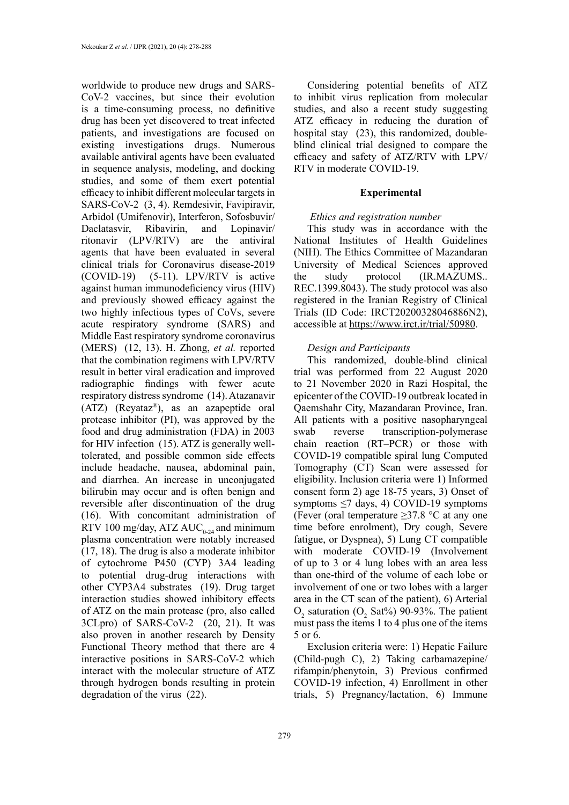worldwide to produce new drugs and SARS-CoV-2 vaccines, but since their evolution is a time-consuming process, no definitive drug has been yet discovered to treat infected patients, and investigations are focused on existing investigations drugs. Numerous available antiviral agents have been evaluated in sequence analysis, modeling, and docking studies, and some of them exert potential efficacy to inhibit different molecular targets in SARS-CoV-2 (3, 4). Remdesivir, Favipiravir, Arbidol (Umifenovir), Interferon, Sofosbuvir/ Daclatasvir, Ribavirin, and Lopinavir/ ritonavir (LPV/RTV) are the antiviral agents that have been evaluated in several clinical trials for Coronavirus disease-2019 (COVID-19) (5-11). LPV/RTV is active against human immunodeficiency virus (HIV) and previously showed efficacy against the two highly infectious types of CoVs, severe acute respiratory syndrome (SARS) and Middle East respiratory syndrome coronavirus (MERS) (12, 13). H. Zhong, *et al.* reported that the combination regimens with LPV/RTV result in better viral eradication and improved radiographic findings with fewer acute respiratory distress syndrome (14). Atazanavir (ATZ) (Reyataz®), as an azapeptide oral protease inhibitor (PI), was approved by the food and drug administration (FDA) in 2003 for HIV infection (15). ATZ is generally welltolerated, and possible common side effects include headache, nausea, abdominal pain, and diarrhea. An increase in unconjugated bilirubin may occur and is often benign and reversible after discontinuation of the drug (16). With concomitant administration of RTV 100 mg/day, ATZ  $AUC_{0.24}$  and minimum plasma concentration were notably increased (17, 18). The drug is also a moderate inhibitor of cytochrome P450 (CYP) 3A4 leading to potential drug-drug interactions with other CYP3A4 substrates (19). Drug target interaction studies showed inhibitory effects of ATZ on the main protease (pro, also called 3CLpro) of SARS-CoV-2 (20, 21). It was also proven in another research by Density Functional Theory method that there are 4 interactive positions in SARS-CoV-2 which interact with the molecular structure of ATZ through hydrogen bonds resulting in protein degradation of the virus (22).

279

Considering potential benefits of ATZ to inhibit virus replication from molecular studies, and also a recent study suggesting ATZ efficacy in reducing the duration of hospital stay (23), this randomized, doubleblind clinical trial designed to compare the efficacy and safety of ATZ/RTV with LPV/ RTV in moderate COVID-19.

## **Experimental**

# *Ethics and registration number*

This study was in accordance with the National Institutes of Health Guidelines (NIH). The Ethics Committee of Mazandaran University of Medical Sciences approved the study protocol (IR.MAZUMS.. REC.1399.8043). The study protocol was also registered in the Iranian Registry of Clinical Trials (ID Code: IRCT20200328046886N2), accessible at <https://www.irct.ir/trial/50980>.

# *Design and Participants*

This randomized, double-blind clinical trial was performed from 22 August 2020 to 21 November 2020 in Razi Hospital, the epicenter of the COVID-19 outbreak located in Qaemshahr City, Mazandaran Province, Iran. All patients with a positive nasopharyngeal swab reverse transcription-polymerase chain reaction (RT–PCR) or those with COVID-19 compatible spiral lung Computed Tomography (CT) Scan were assessed for eligibility. Inclusion criteria were 1) Informed consent form 2) age 18-75 years, 3) Onset of symptoms ≤7 days, 4) COVID-19 symptoms (Fever (oral temperature  $\geq$ 37.8 °C at any one time before enrolment), Dry cough, Severe fatigue, or Dyspnea), 5) Lung CT compatible with moderate COVID-19 (Involvement of up to 3 or 4 lung lobes with an area less than one-third of the volume of each lobe or involvement of one or two lobes with a larger area in the CT scan of the patient), 6) Arterial  $O_2$  saturation ( $O_2$  Sat%) 90-93%. The patient must pass the items 1 to 4 plus one of the items 5 or 6.

Exclusion criteria were: 1) Hepatic Failure (Child-pugh C), 2) Taking carbamazepine/ rifampin/phenytoin, 3) Previous confirmed COVID-19 infection, 4) Enrollment in other trials, 5) Pregnancy/lactation, 6) Immune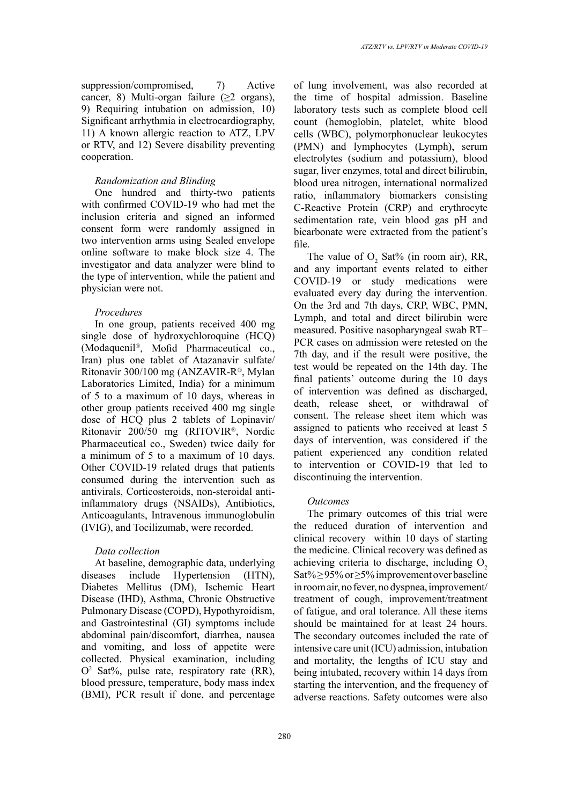suppression/compromised, 7) Active cancer, 8) Multi-organ failure  $(\geq 2$  organs), 9) Requiring intubation on admission, 10) Significant arrhythmia in electrocardiography, 11) A known allergic reaction to ATZ, LPV or RTV, and 12) Severe disability preventing cooperation.

## *Randomization and Blinding*

One hundred and thirty-two patients with confirmed COVID-19 who had met the inclusion criteria and signed an informed consent form were randomly assigned in two intervention arms using Sealed envelope online software to make block size 4. The investigator and data analyzer were blind to the type of intervention, while the patient and physician were not.

## *Procedures*

In one group, patients received 400 mg single dose of hydroxychloroquine (HCQ) (Modaquenil®, Mofid Pharmaceutical co., Iran) plus one tablet of Atazanavir sulfate/ Ritonavir 300/100 mg (ANZAVIR-R®, Mylan Laboratories Limited, India) for a minimum of 5 to a maximum of 10 days, whereas in other group patients received 400 mg single dose of HCQ plus 2 tablets of Lopinavir/ Ritonavir 200/50 mg (RITOVIR®, Nordic Pharmaceutical co., Sweden) twice daily for a minimum of 5 to a maximum of 10 days. Other COVID-19 related drugs that patients consumed during the intervention such as antivirals, Corticosteroids, non-steroidal antiinflammatory drugs (NSAIDs), Antibiotics, Anticoagulants, Intravenous immunoglobulin (IVIG), and Tocilizumab, were recorded.

### *Data collection*

At baseline, demographic data, underlying diseases include Hypertension (HTN), Diabetes Mellitus (DM), Ischemic Heart Disease (IHD), Asthma, Chronic Obstructive Pulmonary Disease (COPD), Hypothyroidism, and Gastrointestinal (GI) symptoms include abdominal pain/discomfort, diarrhea, nausea and vomiting, and loss of appetite were collected. Physical examination, including  $O<sup>2</sup>$  Sat%, pulse rate, respiratory rate (RR), blood pressure, temperature, body mass index (BMI), PCR result if done, and percentage

of lung involvement, was also recorded at the time of hospital admission. Baseline laboratory tests such as complete blood cell count (hemoglobin, platelet, white blood cells (WBC), polymorphonuclear leukocytes (PMN) and lymphocytes (Lymph), serum electrolytes (sodium and potassium), blood sugar, liver enzymes, total and direct bilirubin, blood urea nitrogen, international normalized ratio, inflammatory biomarkers consisting C-Reactive Protein (CRP) and erythrocyte sedimentation rate, vein blood gas pH and bicarbonate were extracted from the patient's file.

The value of  $O_2$  Sat% (in room air), RR, and any important events related to either COVID-19 or study medications were evaluated every day during the intervention. On the 3rd and 7th days, CRP, WBC, PMN, Lymph, and total and direct bilirubin were measured. Positive nasopharyngeal swab RT– PCR cases on admission were retested on the 7th day, and if the result were positive, the test would be repeated on the 14th day. The final patients' outcome during the 10 days of intervention was defined as discharged, death, release sheet, or withdrawal of consent. The release sheet item which was assigned to patients who received at least 5 days of intervention, was considered if the patient experienced any condition related to intervention or COVID-19 that led to discontinuing the intervention.

#### *Outcomes*

The primary outcomes of this trial were the reduced duration of intervention and clinical recovery within 10 days of starting the medicine. Clinical recovery was defined as achieving criteria to discharge, including  $O<sub>2</sub>$ Sat%  $\geq$  95% or  $\geq$ 5% improvement over baseline in room air, no fever, no dyspnea, improvement/ treatment of cough, improvement/treatment of fatigue, and oral tolerance. All these items should be maintained for at least 24 hours. The secondary outcomes included the rate of intensive care unit (ICU) admission, intubation and mortality, the lengths of ICU stay and being intubated, recovery within 14 days from starting the intervention, and the frequency of adverse reactions. Safety outcomes were also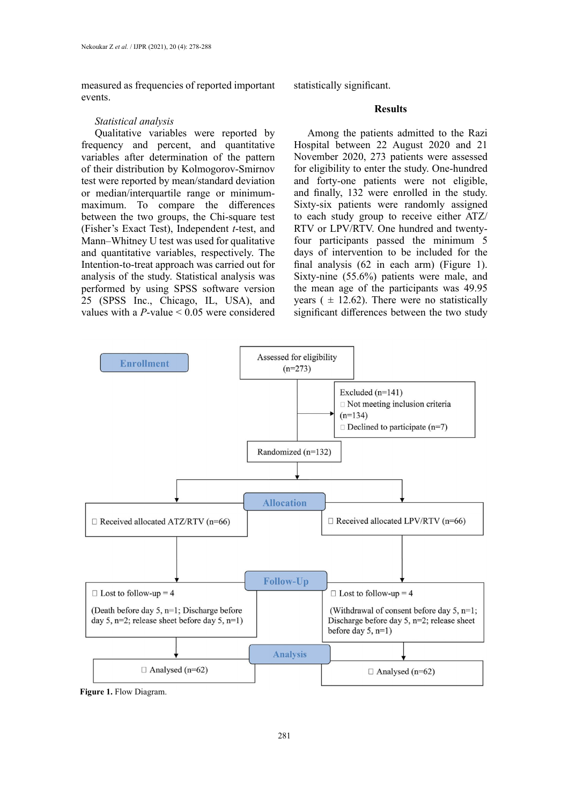measured as frequencies of reported important events.

## *Statistical analysis*

Qualitative variables were reported by frequency and percent, and quantitative variables after determination of the pattern of their distribution by Kolmogorov-Smirnov test were reported by mean/standard deviation or median/interquartile range or minimummaximum. To compare the differences between the two groups, the Chi-square test (Fisher's Exact Test), Independent *t*-test, and Mann–Whitney U test was used for qualitative and quantitative variables, respectively. The Intention-to-treat approach was carried out for analysis of the study. Statistical analysis was performed by using SPSS software version 25 (SPSS Inc., Chicago, IL, USA), and values with a *P*-value < 0.05 were considered

statistically significant.

## **Results**

Among the patients admitted to the Razi Hospital between 22 August 2020 and 21 November 2020, 273 patients were assessed for eligibility to enter the study. One-hundred and forty-one patients were not eligible, and finally, 132 were enrolled in the study. Sixty-six patients were randomly assigned to each study group to receive either ATZ/ RTV or LPV/RTV. One hundred and twentyfour participants passed the minimum 5 days of intervention to be included for the final analysis (62 in each arm) (Figure 1). Sixty-nine (55.6%) patients were male, and the mean age of the participants was 49.95 years ( $\pm$  12.62). There were no statistically significant differences between the two study



**Figure 1.** Flow Diagram.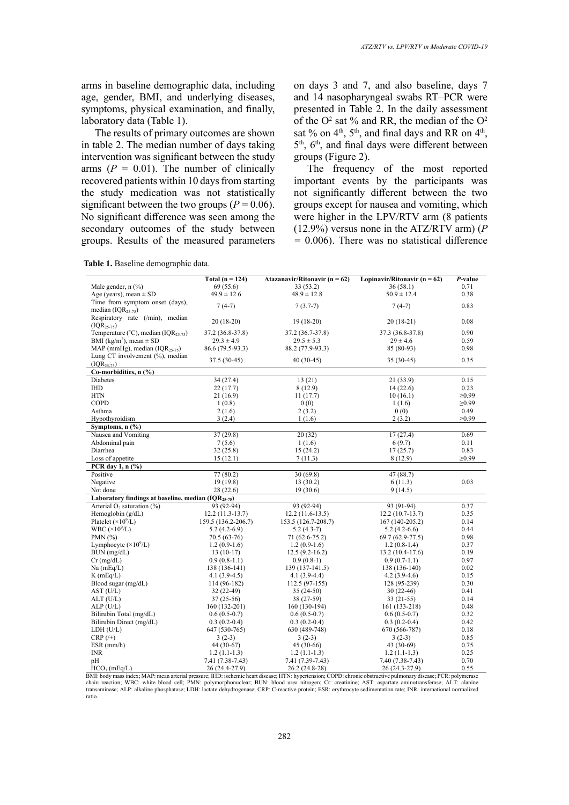arms in baseline demographic data, including age, gender, BMI, and underlying diseases, symptoms, physical examination, and finally, laboratory data (Table 1).

The results of primary outcomes are shown in table 2. The median number of days taking intervention was significant between the study arms  $(P = 0.01)$ . The number of clinically recovered patients within 10 days from starting the study medication was not statistically significant between the two groups ( $P = 0.06$ ). No significant difference was seen among the secondary outcomes of the study between groups. Results of the measured parameters

**Table 1.** Baseline demographic data.

on days 3 and 7, and also baseline, days 7 and 14 nasopharyngeal swabs RT–PCR were presented in Table 2. In the daily assessment of the  $O^2$  sat % and RR, the median of the  $O^2$ sat % on  $4<sup>th</sup>$ ,  $5<sup>th</sup>$ , and final days and RR on  $4<sup>th</sup>$ , 5<sup>th</sup>, 6<sup>th</sup>, and final days were different between groups (Figure 2).

The frequency of the most reported important events by the participants was not significantly different between the two groups except for nausea and vomiting, which were higher in the LPV/RTV arm (8 patients (12.9%) versus none in the ATZ/RTV arm) (*P =* 0.006). There was no statistical difference

|                                                    | Total ( $n = 124$ ) | Atazanavir/Ritonavir ( $n = 62$ ) | Lopinavir/Ritonavir ( $n = 62$ ) | P-value     |
|----------------------------------------------------|---------------------|-----------------------------------|----------------------------------|-------------|
| Male gender, $n$ $(\%)$                            | 69 (55.6)           | 33 (53.2)                         | 36(58.1)                         | 0.71        |
| Age (years), mean $\pm$ SD                         | $49.9 \pm 12.6$     | $48.9 \pm 12.8$                   | $50.9 \pm 12.4$                  | 0.38        |
| Time from symptom onset (days),                    |                     |                                   |                                  |             |
| median $(IOR25-75)$                                | $7(4-7)$            | $7(3.7-7)$                        | $7(4-7)$                         | 0.83        |
| Respiratory rate (/min), median                    |                     |                                   |                                  |             |
| $(IOR25-75)$                                       | $20(18-20)$         | $19(18-20)$                       | $20(18-21)$                      | 0.08        |
| Temperature (°C), median (IQR <sub>25-75</sub> )   | 37.2 (36.8-37.8)    | 37.2 (36.7-37.8)                  | 37.3 (36.8-37.8)                 | 0.90        |
| BMI (kg/m <sup>2</sup> ), mean $\pm$ SD            | $29.3 \pm 4.9$      | $29.5 \pm 5.3$                    | $29 \pm 4.6$                     | 0.59        |
| MAP (mmHg), median $(IQR25-75)$                    | 86.6 (79.5-93.3)    | 88.2 (77.9-93.3)                  | 85 (80-93)                       | 0.98        |
| Lung CT involvement (%), median                    |                     |                                   |                                  |             |
| $(IOR25-75)$                                       | 37.5 (30-45)        | 40 (30-45)                        | $35(30-45)$                      | 0.35        |
| Co-morbidities, n (%)                              |                     |                                   |                                  |             |
| <b>Diabetes</b>                                    | 34 (27.4)           | 13(21)                            | 21 (33.9)                        | 0.15        |
| <b>IHD</b>                                         | 22(17.7)            | 8(12.9)                           | 14(22.6)                         | 0.23        |
| <b>HTN</b>                                         | 21(16.9)            | 11(17.7)                          | 10(16.1)                         | $\geq 0.99$ |
| COPD                                               | 1(0.8)              | 0(0)                              | 1(1.6)                           | $\geq 0.99$ |
| Asthma                                             | 2(1.6)              | 2(3.2)                            | 0(0)                             | 0.49        |
| Hypothyroidism                                     | 3(2.4)              | 1(1.6)                            | 2(3.2)                           | $\geq 0.99$ |
| Symptoms, $n$ $(\frac{9}{6})$                      |                     |                                   |                                  |             |
| Nausea and Vomiting                                | 37(29.8)            | 20(32)                            | 17(27.4)                         | 0.69        |
| Abdominal pain                                     | 7(5.6)              | 1(1.6)                            | 6(9.7)                           | 0.11        |
| Diarrhea                                           | 32(25.8)            | 15(24.2)                          | 17(25.7)                         | 0.83        |
| Loss of appetite                                   | 15(12.1)            | 7(11.3)                           | 8(12.9)                          | $\geq 0.99$ |
| PCR day 1, $n$ $\left(\frac{9}{6}\right)$          |                     |                                   |                                  |             |
| Positive                                           | 77(80.2)            | 30(69.8)                          | 47 (88.7)                        |             |
| Negative                                           | 19(19.8)            | 13(30.2)                          | 6(11.3)                          | 0.03        |
| Not done                                           | 28 (22.6)           | 19(30.6)                          | 9(14.5)                          |             |
| Laboratory findings at baseline, median (IQR25-75) |                     |                                   |                                  |             |
| Arterial $O_2$ saturation (%)                      | 93 (92-94)          | 93 (92-94)                        | 93 (91-94)                       | 0.37        |
| Hemoglobin $(g/dL)$                                | $12.2(11.3-13.7)$   | $12.2(11.6-13.5)$                 | $12.2(10.7-13.7)$                | 0.35        |
| Platelet $(\times 10^9$ /L)                        | 159.5 (136.2-206.7) | 153.5 (126.7-208.7)               | 167 (140-205.2)                  | 0.14        |
| WBC $(\times 10^9$ /L)                             | $5.2(4.2-6.9)$      | $5.2(4.3-7)$                      | $5.2(4.2-6.6)$                   | 0.44        |
| PMN $(%)$                                          | $70.5(63-76)$       | 71 (62.6-75.2)                    | $69.7(62.9-77.5)$                | 0.98        |
| Lymphocyte $(\times 10^9$ /L)                      | $1.2(0.9-1.6)$      | $1.2(0.9-1.6)$                    | $1.2(0.8-1.4)$                   | 0.37        |
| $BUN$ (mg/dL)                                      | $13(10-17)$         | $12.5(9.2 - 16.2)$                | 13.2 (10.4-17.6)                 | 0.19        |
| $Cr$ (mg/dL)                                       | $0.9(0.8-1.1)$      | $0.9(0.8-1)$                      | $0.9(0.7-1.1)$                   | 0.97        |
| $Na$ (mEq/L)                                       | 138 (136-141)       | $139(137-141.5)$                  | 138 (136-140)                    | 0.02        |
| $K$ (mEq/L)                                        | $4.1(3.9-4.5)$      | $4.1(3.9-4.4)$                    | $4.2(3.9-4.6)$                   | 0.15        |
| Blood sugar (mg/dL)                                | 114 (96-182)        | 112.5 (97-155)                    | 128 (95-239)                     | 0.30        |
| AST (U/L)                                          | $32(22-49)$         | $35(24-50)$                       | $30(22-46)$                      | 0.41        |
| ALT (U/L)                                          | $37(25-56)$         | 38 (27-59)                        | $33(21-55)$                      | 0.14        |
| ALP(U/L)                                           | 160 (132-201)       | 160 (130-194)                     | 161 (133-218)                    | 0.48        |
| Bilirubin Total (mg/dL)                            | $0.6(0.5-0.7)$      | $0.6(0.5-0.7)$                    | $0.6(0.5-0.7)$                   | 0.32        |
| Bilirubin Direct (mg/dL)                           | $0.3(0.2-0.4)$      | $0.3(0.2-0.4)$                    | $0.3(0.2-0.4)$                   | 0.42        |
| LDH (U/L)                                          | 647 (530-765)       | 630 (489-748)                     | 670 (566-787)                    | 0.18        |
| $CRP$ (/+)                                         | $3(2-3)$            | $3(2-3)$                          | $3(2-3)$                         | 0.85        |
| $ESR$ (mm/h)                                       | 44 (30-67)          | 45 (30-66)                        | 43 (30-69)                       | 0.75        |
| <b>INR</b>                                         | $1.2(1.1-1.3)$      | $1.2(1.1-1.3)$                    | $1.2(1.1-1.3)$                   | 0.25        |
| pH                                                 | 7.41 (7.38-7.43)    | 7.41 (7.39-7.43)                  | 7.40 (7.38-7.43)                 | 0.70        |
| $HCO3$ (mEq/L)                                     | 26 (24.4-27.9)      | 26.2 (24.8-28)                    | 26 (24.3-27.9)                   | 0.55        |

BMI: body mass index; MAP: mean arterial pressure; IHD: ischemic heart disease; HTN: hypertension; COPD: chronic obstructive pulmonary disease; PCR: polymerase<br>chain reaction; WBC: white blood cell; PMN: polymorphonuclear; ratio.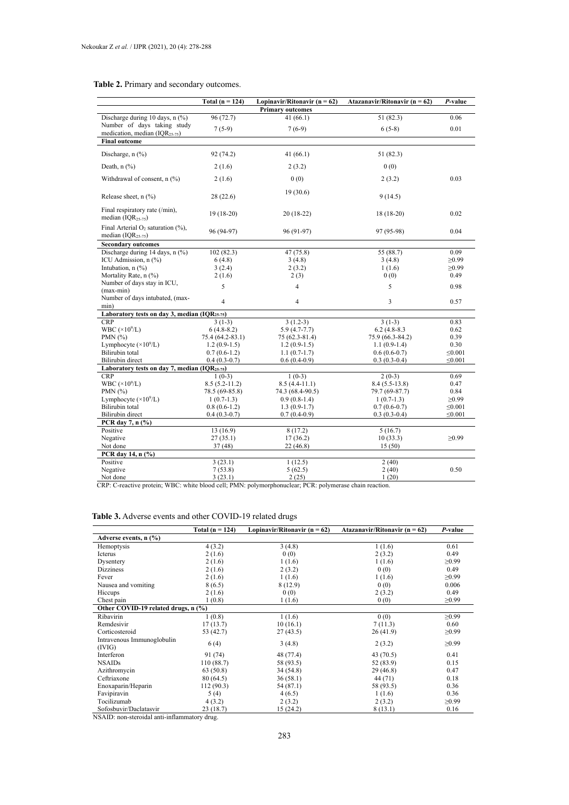#### **Table 2.** Primary and secondary outcomes. **Table 2.** Primary and secondary outcomes.

|                                                             | Total ( $n = 124$ ) | Lopinavir/Ritonavir ( $n = 62$ ) | Atazanavir/Ritonavir ( $n = 62$ ) | P-value      |  |
|-------------------------------------------------------------|---------------------|----------------------------------|-----------------------------------|--------------|--|
|                                                             |                     | <b>Primary outcomes</b>          |                                   |              |  |
| Discharge during 10 days, n (%)                             | 96 (72.7)           | 41(66.1)                         | 51 (82.3)                         | 0.06         |  |
| Number of days taking study                                 | $7(5-9)$            | $7(6-9)$                         | $6(5-8)$                          | 0.01         |  |
| medication, median $(IQR25-75)$                             |                     |                                  |                                   |              |  |
| <b>Final outcome</b>                                        |                     |                                  |                                   |              |  |
| Discharge, $n$ $\left(\frac{9}{6}\right)$                   | 92 (74.2)           | 41(66.1)                         | 51 (82.3)                         |              |  |
| Death, $n$ $(\%)$                                           | 2(1.6)              | 2(3.2)                           | 0(0)                              |              |  |
| Withdrawal of consent, n (%)                                | 2(1.6)              | 0(0)                             | 2(3.2)                            | 0.03         |  |
| Release sheet, $n$ (%)                                      | 28(22.6)            | 19(30.6)                         | 9(14.5)                           |              |  |
| Final respiratory rate (/min),<br>median $(IOR25-75)$       | $19(18-20)$         | $20(18-22)$                      | $18(18-20)$                       | 0.02         |  |
| Final Arterial $O_2$ saturation (%),<br>median $(IQR25-75)$ | 96 (94-97)          | 96 (91-97)                       | 97 (95-98)                        | 0.04         |  |
| <b>Secondary outcomes</b>                                   |                     |                                  |                                   |              |  |
| Discharge during 14 days, n (%)                             | 102(82.3)           | 47 (75.8)                        | 55 (88.7)                         | 0.09         |  |
| ICU Admission, n (%)                                        | 6(4.8)              | 3(4.8)                           | 3(4.8)                            | $\geq 0.99$  |  |
| Intubation, $n$ $(\%)$                                      | 3(2.4)              | 2(3.2)                           | 1(1.6)                            | $\geq 0.99$  |  |
| Mortality Rate, n (%)                                       | 2(1.6)              | 2(3)                             | 0(0)                              | 0.49         |  |
| Number of days stay in ICU,                                 | 5                   | $\overline{4}$                   | 5                                 | 0.98         |  |
| $(max-min)$<br>Number of days intubated, (max-              |                     |                                  |                                   |              |  |
| min)                                                        | $\overline{4}$      | $\overline{4}$                   | 3                                 | 0.57         |  |
| Laboratory tests on day 3, median (IQR25-75)                |                     |                                  |                                   |              |  |
| <b>CRP</b>                                                  | $3(1-3)$            | $3(1.2-3)$                       | $3(1-3)$                          | 0.83         |  |
| WBC $(\times 10^9$ /L)                                      | $6(4.8-8.2)$        | $5.9(4.7-7.7)$                   | $6.2(4.8-8.3)$                    | 0.62         |  |
| PMN $(%)$                                                   | 75.4 (64.2-83.1)    | $75(62.3-81.4)$                  | 75.9 (66.3-84.2)                  | 0.39         |  |
| Lymphocyte $(\times 10^9$ /L)                               | $1.2(0.9-1.5)$      | $1.2(0.9-1.5)$                   | $1.1(0.9-1.4)$                    | 0.30         |  |
| Bilirubin total                                             | $0.7(0.6-1.2)$      | $1.1(0.7-1.7)$                   | $0.6(0.6-0.7)$                    | $\leq 0.001$ |  |
| <b>Bilirubin</b> direct                                     | $0.4(0.3-0.7)$      | $0.6(0.4-0.9)$                   | $0.3(0.3-0.4)$                    | $\leq 0.001$ |  |
| Laboratory tests on day 7, median (IQR25-75)                |                     |                                  |                                   |              |  |
| <b>CRP</b>                                                  | $1(0-3)$            | $1(0-3)$                         | $2(0-3)$                          | 0.69         |  |
| WBC $(\times 10^9$ /L)                                      | $8.5(5.2 - 11.2)$   | $8.5(4.4-11.1)$                  | $8.4(5.5-13.8)$                   | 0.47         |  |
| PMN $(%)$                                                   | 78.5 (69-85.8)      | 74.3 (68.4-90.5)                 | 79.7 (69-87.7)                    | 0.84         |  |
| Lymphocyte $(\times 10^9/L)$                                | $1(0.7-1.3)$        | $0.9(0.8-1.4)$                   | $1(0.7-1.3)$                      | $\geq 0.99$  |  |
| Bilirubin total                                             | $0.8(0.6-1.2)$      | $1.3(0.9-1.7)$                   | $0.7(0.6-0.7)$                    | $\leq 0.001$ |  |
| <b>Bilirubin</b> direct                                     | $0.4(0.3-0.7)$      | $0.7(0.4-0.9)$                   | $0.3(0.3-0.4)$                    | $\leq 0.001$ |  |
| PCR day 7, n (%)                                            |                     |                                  |                                   |              |  |
| Positive                                                    | 13(16.9)            | 8(17.2)                          | 5(16.7)                           |              |  |
| Negative                                                    | 27(35.1)            | 17(36.2)                         | 10(33.3)                          | $\geq 0.99$  |  |
| Not done                                                    | 37(48)              | 22(46.8)                         | 15(50)                            |              |  |
| PCR day 14, n (%)                                           |                     |                                  |                                   |              |  |
| Positive                                                    | 3(23.1)             | 1(12.5)                          | 2(40)                             |              |  |
| Negative                                                    | 7(53.8)             | 5(62.5)                          | 2(40)                             | 0.50         |  |
| Not done                                                    | 3(23.1)             | 2(25)                            | 1(20)                             |              |  |

CRP: C-reactive protein; WBC: white blood cell; PMN: polymorphonuclear; PCR: polymerase chain reaction.

#### **Table 3.** Adverse events and other COVID-19 related drugs **Table 3.** Adverse events and other COVID-19 related drugs

|                                      | Total $(n = 124)$ | Lopinavir/Ritonavir ( $n = 62$ ) | Atazanavir/Ritonavir ( $n = 62$ ) | P-value     |
|--------------------------------------|-------------------|----------------------------------|-----------------------------------|-------------|
| Adverse events, n (%)                |                   |                                  |                                   |             |
| Hemoptysis                           | 4(3.2)            | 3(4.8)                           | 1(1.6)                            | 0.61        |
| Icterus                              | 2(1.6)            | 0(0)                             | 2(3.2)                            | 0.49        |
| Dysentery                            | 2(1.6)            | 1(1.6)                           | 1(1.6)                            | $\geq 0.99$ |
| <b>Dizziness</b>                     | 2(1.6)            | 2(3.2)                           | 0(0)                              | 0.49        |
| Fever                                | 2(1.6)            | 1(1.6)                           | 1(1.6)                            | $\geq 0.99$ |
| Nausea and vomiting                  | 8(6.5)            | 8(12.9)                          | 0(0)                              | 0.006       |
| Hiccups                              | 2(1.6)            | 0(0)                             | 2(3.2)                            | 0.49        |
| Chest pain                           | 1(0.8)            | 1(1.6)                           | 0(0)                              | $\geq 0.99$ |
| Other COVID-19 related drugs, n (%)  |                   |                                  |                                   |             |
| Ribavirin                            | 1(0.8)            | 1(1.6)                           | 0(0)                              | $\geq 0.99$ |
| Remdesivir                           | 17(13.7)          | 10(16.1)                         | 7(11.3)                           | 0.60        |
| Corticosteroid                       | 53 (42.7)         | 27(43.5)                         | 26(41.9)                          | $\geq 0.99$ |
| Intravenous Immunoglobulin<br>(IVIG) | 6(4)              | 3(4.8)                           | 2(3.2)                            | $\geq 0.99$ |
| Interferon                           | 91 (74)           | 48 (77.4)                        | 43 (70.5)                         | 0.41        |
| <b>NSAIDs</b>                        | 110 (88.7)        | 58 (93.5)                        | 52 (83.9)                         | 0.15        |
| Azithromycin                         | 63 (50.8)         | 34 (54.8)                        | 29(46.8)                          | 0.47        |
| Ceftriaxone                          | 80 (64.5)         | 36 (58.1)                        | 44 (71)                           | 0.18        |
| Enoxaparin/Heparin                   | 112 (90.3)        | 54 (87.1)                        | 58 (93.5)                         | 0.36        |
| Favipiravin                          | 5(4)              | 4(6.5)                           | 1(1.6)                            | 0.36        |
| Tocilizumab                          | 4(3.2)            | 2(3.2)                           | 2(3.2)                            | $\geq 0.99$ |
| Sofosbuvir/Daclatasvir               | 23(18.7)          | 15(24.2)                         | 8(13.1)                           | 0.16        |

NSAID: non-steroidal anti-inflammatory drug.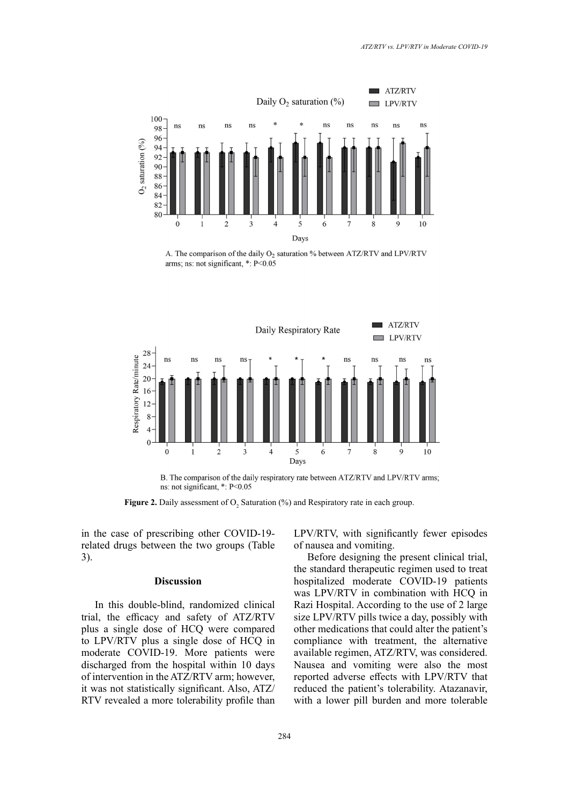

A. The comparison of the daily O<sub>2</sub> saturation % between ATZ/RTV and LPV/RTV arms; ns: not significant,  $*$ : P<0.05



B. The comparison of the daily respiratory rate between ATZ/RTV and LPV/RTV arms; ns: not significant, \*: P<0.05

**Figure 2.** Daily assessment of  $O_2$  Saturation (%) and Respiratory rate in each group.

in the case of prescribing other COVID-19 related drugs between the two groups (Table 3).

### **Discussion**

In this double-blind, randomized clinical trial, the efficacy and safety of ATZ/RTV plus a single dose of HCQ were compared to LPV/RTV plus a single dose of HCQ in moderate COVID-19. More patients were discharged from the hospital within 10 days of intervention in the ATZ/RTV arm; however, it was not statistically significant. Also, ATZ/ RTV revealed a more tolerability profile than LPV/RTV, with significantly fewer episodes of nausea and vomiting.

Before designing the present clinical trial, the standard therapeutic regimen used to treat  $\frac{1}{2}$  and  $\frac{1}{2}$  and Respiratory rate in each group. hospitalized moderate COVID-19 patients was LPV/RTV in combination with HCQ in Razi Hospital. According to the use of 2 large size LPV/RTV pills twice a day, possibly with other medications that could alter the patient's compliance with treatment, the alternative available regimen, ATZ/RTV, was considered. Nausea and vomiting were also the most reported adverse effects with LPV/RTV that reduced the patient's tolerability. Atazanavir, with a lower pill burden and more tolerable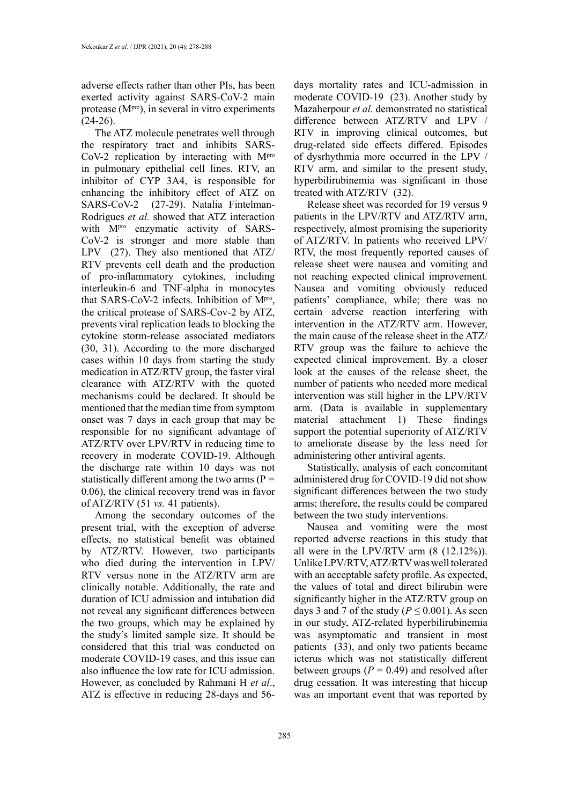adverse effects rather than other PIs, has been exerted activity against SARS-CoV-2 main protease  $(M<sup>pro</sup>)$ , in several in vitro experiments  $(24-26)$ .

The ATZ molecule penetrates well through the respiratory tract and inhibits SARS-CoV-2 replication by interacting with Mpro in pulmonary epithelial cell lines. RTV, an inhibitor of CYP 3A4, is responsible for enhancing the inhibitory effect of ATZ on SARS-CoV-2 (27-29). Natalia Fintelman-Rodrigues *et al.* showed that ATZ interaction with M<sup>pro</sup> enzymatic activity of SARS-CoV-2 is stronger and more stable than LPV (27). They also mentioned that ATZ/ RTV prevents cell death and the production of pro-inflammatory cytokines, including interleukin-6 and TNF-alpha in monocytes that SARS-CoV-2 infects. Inhibition of Mpro, the critical protease of SARS-Cov-2 by ATZ, prevents viral replication leads to blocking the cytokine storm-release associated mediators (30, 31). According to the more discharged cases within 10 days from starting the study medication in ATZ/RTV group, the faster viral clearance with ATZ/RTV with the quoted mechanisms could be declared. It should be mentioned that the median time from symptom onset was 7 days in each group that may be responsible for no significant advantage of ATZ/RTV over LPV/RTV in reducing time to recovery in moderate COVID-19. Although the discharge rate within 10 days was not statistically different among the two arms (P *=*  0.06), the clinical recovery trend was in favor of ATZ/RTV (51 *vs.* 41 patients).

Among the secondary outcomes of the present trial, with the exception of adverse effects, no statistical benefit was obtained by ATZ/RTV. However, two participants who died during the intervention in LPV/ RTV versus none in the ATZ/RTV arm are clinically notable. Additionally, the rate and duration of ICU admission and intubation did not reveal any significant differences between the two groups, which may be explained by the study's limited sample size. It should be considered that this trial was conducted on moderate COVID-19 cases, and this issue can also influence the low rate for ICU admission. However, as concluded by Rahmani H *et al*., ATZ is effective in reducing 28-days and 56days mortality rates and ICU-admission in moderate COVID-19 (23). Another study by Mazaherpour *et al.* demonstrated no statistical difference between ATZ/RTV and LPV / RTV in improving clinical outcomes, but drug-related side effects differed. Episodes of dysrhythmia more occurred in the LPV / RTV arm, and similar to the present study, hyperbilirubinemia was significant in those treated with ATZ/RTV (32).

Release sheet was recorded for 19 versus 9 patients in the LPV/RTV and ATZ/RTV arm, respectively, almost promising the superiority of ATZ/RTV. In patients who received LPV/ RTV, the most frequently reported causes of release sheet were nausea and vomiting and not reaching expected clinical improvement. Nausea and vomiting obviously reduced patients' compliance, while; there was no certain adverse reaction interfering with intervention in the ATZ/RTV arm. However, the main cause of the release sheet in the ATZ/ RTV group was the failure to achieve the expected clinical improvement. By a closer look at the causes of the release sheet, the number of patients who needed more medical intervention was still higher in the LPV/RTV arm. (Data is available in supplementary material attachment 1) These findings support the potential superiority of ATZ/RTV to ameliorate disease by the less need for administering other antiviral agents.

Statistically, analysis of each concomitant administered drug for COVID-19 did not show significant differences between the two study arms; therefore, the results could be compared between the two study interventions.

Nausea and vomiting were the most reported adverse reactions in this study that all were in the LPV/RTV arm (8 (12.12%)). Unlike LPV/RTV, ATZ/RTV was well tolerated with an acceptable safety profile. As expected, the values of total and direct bilirubin were significantly higher in the ATZ/RTV group on days 3 and 7 of the study ( $P \le 0.001$ ). As seen in our study, ATZ-related hyperbilirubinemia was asymptomatic and transient in most patients (33), and only two patients became icterus which was not statistically different between groups  $(P = 0.49)$  and resolved after drug cessation. It was interesting that hiccup was an important event that was reported by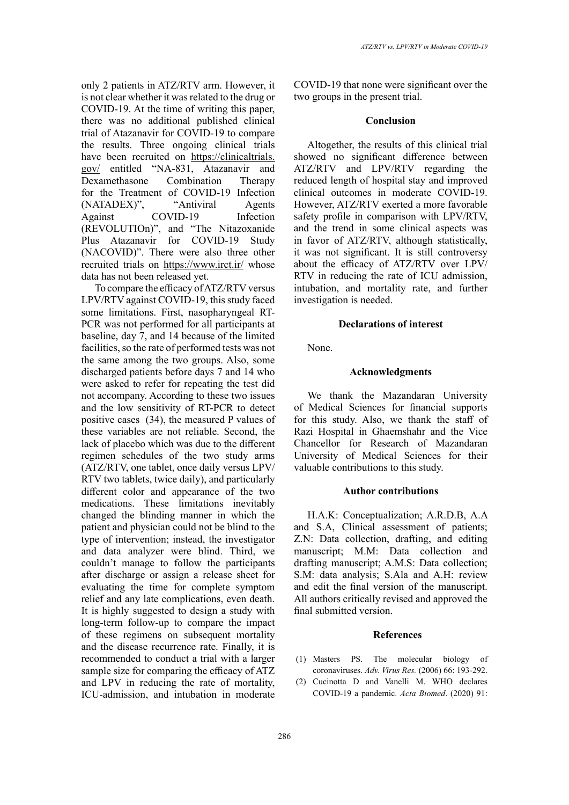only 2 patients in ATZ/RTV arm. However, it is not clear whether it was related to the drug or COVID-19. At the time of writing this paper, there was no additional published clinical trial of Atazanavir for COVID-19 to compare the results. Three ongoing clinical trials have been recruited on [https://clinicaltrials.](https://clinicaltrials.gov/) [gov/](https://clinicaltrials.gov/) entitled "NA-831, Atazanavir and Dexamethasone Combination Therapy for the Treatment of COVID-19 Infection (NATADEX)", "Antiviral Agents Against COVID-19 Infection (REVOLUTIOn)", and "The Nitazoxanide Plus Atazanavir for COVID-19 Study (NACOVID)". There were also three other recruited trials on <https://www.irct.ir/>whose data has not been released yet.

To compare the efficacy of ATZ/RTV versus LPV/RTV against COVID-19, this study faced some limitations. First, nasopharyngeal RT-PCR was not performed for all participants at baseline, day 7, and 14 because of the limited facilities, so the rate of performed tests was not the same among the two groups. Also, some discharged patients before days 7 and 14 who were asked to refer for repeating the test did not accompany. According to these two issues and the low sensitivity of RT-PCR to detect positive cases (34), the measured P values of these variables are not reliable. Second, the lack of placebo which was due to the different regimen schedules of the two study arms (ATZ/RTV, one tablet, once daily versus LPV/ RTV two tablets, twice daily), and particularly different color and appearance of the two medications. These limitations inevitably changed the blinding manner in which the patient and physician could not be blind to the type of intervention; instead, the investigator and data analyzer were blind. Third, we couldn't manage to follow the participants after discharge or assign a release sheet for evaluating the time for complete symptom relief and any late complications, even death. It is highly suggested to design a study with long-term follow-up to compare the impact of these regimens on subsequent mortality and the disease recurrence rate. Finally, it is recommended to conduct a trial with a larger sample size for comparing the efficacy of ATZ and LPV in reducing the rate of mortality, ICU-admission, and intubation in moderate

COVID-19 that none were significant over the two groups in the present trial.

## **Conclusion**

Altogether, the results of this clinical trial showed no significant difference between ATZ/RTV and LPV/RTV regarding the reduced length of hospital stay and improved clinical outcomes in moderate COVID-19. However, ATZ/RTV exerted a more favorable safety profile in comparison with LPV/RTV, and the trend in some clinical aspects was in favor of ATZ/RTV, although statistically, it was not significant. It is still controversy about the efficacy of ATZ/RTV over LPV/ RTV in reducing the rate of ICU admission, intubation, and mortality rate, and further investigation is needed.

#### **Declarations of interest**

None.

## **Acknowledgments**

We thank the Mazandaran University of Medical Sciences for financial supports for this study. Also, we thank the staff of Razi Hospital in Ghaemshahr and the Vice Chancellor for Research of Mazandaran University of Medical Sciences for their valuable contributions to this study.

#### **Author contributions**

H.A.K: Conceptualization; A.R.D.B, A.A and S.A, Clinical assessment of patients; Z.N: Data collection, drafting, and editing manuscript; M.M: Data collection and drafting manuscript; A.M.S: Data collection; S.M: data analysis; S.Ala and A.H: review and edit the final version of the manuscript. All authors critically revised and approved the final submitted version.

## **References**

- (1) Masters PS. The molecular biology of coronaviruses. *Adv. Virus Res.* (2006) 66: 193-292.
- (2) Cucinotta D and Vanelli M. WHO declares COVID-19 a pandemic. *Acta Biomed*. (2020) 91: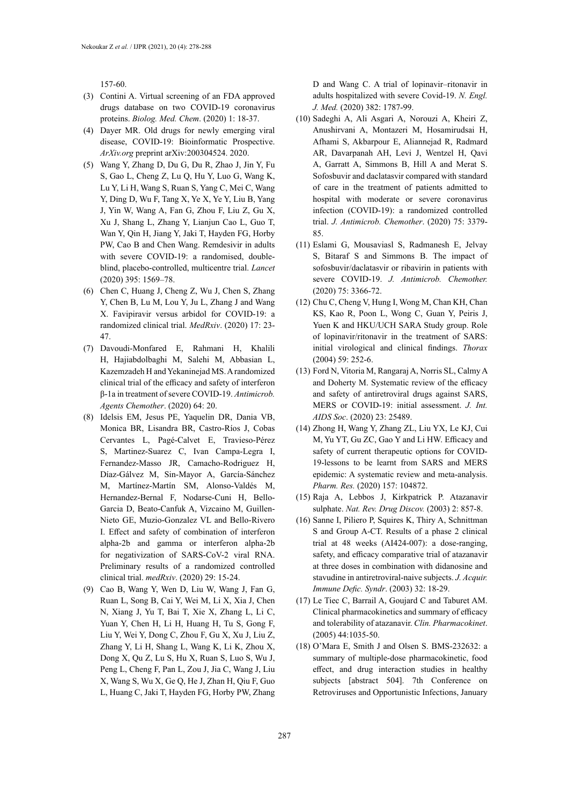157-60.

- (3) Contini A. Virtual screening of an FDA approved drugs database on two COVID-19 coronavirus proteins. *Biolog. Med. Chem*. (2020) 1: 18-37.
- (4) Dayer MR. Old drugs for newly emerging viral disease, COVID-19: Bioinformatic Prospective. *ArXiv.org* preprint arXiv:200304524. 2020.
- (5) Wang Y, Zhang D, Du G, Du R, Zhao J, Jin Y, Fu S, Gao L, Cheng Z, Lu Q, Hu Y, Luo G, Wang K, Lu Y, Li H, Wang S, Ruan S, Yang C, Mei C, Wang Y, Ding D, Wu F, Tang X, Ye X, Ye Y, Liu B, Yang J, Yin W, Wang A, Fan G, Zhou F, Liu Z, Gu X, Xu J, Shang L, Zhang Y, Lianjun Cao L, Guo T, Wan Y, Qin H, Jiang Y, Jaki T, Hayden FG, Horby PW, Cao B and Chen Wang. Remdesivir in adults with severe COVID-19: a randomised, doubleblind, placebo-controlled, multicentre trial. *Lancet* (2020) 395: 1569–78.
- (6) Chen C, Huang J, Cheng Z, Wu J, Chen S, Zhang Y, Chen B, Lu M, Lou Y, Ju L, Zhang J and Wang X. Favipiravir versus arbidol for COVID-19: a randomized clinical trial. *MedRxiv*. (2020) 17: 23- 47.
- (7) Davoudi-Monfared E, Rahmani H, Khalili H, Hajiabdolbaghi M, Salehi M, Abbasian L, Kazemzadeh H and Yekaninejad MS. A randomized clinical trial of the efficacy and safety of interferon β-1a in treatment of severe COVID-19. *Antimicrob. Agents Chemother*. (2020) 64: 20.
- (8) Idelsis EM, Jesus PE, Yaquelin DR, Dania VB, Monica BR, Lisandra BR, Castro-Ríos J, Cobas Cervantes L, Pagé-Calvet E, Travieso-Pérez S, Martinez-Suarez C, Ivan Campa-Legra I, Fernandez-Masso JR, Camacho-Rodriguez H, Díaz-Gálvez M, Sin-Mayor A, García-Sánchez M, Martínez-Martín SM, Alonso-Valdés M, Hernandez-Bernal F, Nodarse-Cuni H, Bello-Garcia D, Beato-Canfuk A, Vizcaino M, Guillen-Nieto GE, Muzio-Gonzalez VL and Bello-Rivero I. Effect and safety of combination of interferon alpha-2b and gamma or interferon alpha-2b for negativization of SARS-CoV-2 viral RNA. Preliminary results of a randomized controlled clinical trial. *medRxiv*. (2020) 29: 15-24.
- (9) Cao B, Wang Y, Wen D, Liu W, Wang J, Fan G, Ruan L, Song B, Cai Y, Wei M, Li X, Xia J, Chen N, Xiang J, Yu T, Bai T, Xie X, Zhang L, Li C, Yuan Y, Chen H, Li H, Huang H, Tu S, Gong F, Liu Y, Wei Y, Dong C, Zhou F, Gu X, Xu J, Liu Z, Zhang Y, Li H, Shang L, Wang K, Li K, Zhou X, Dong X, Qu Z, Lu S, Hu X, Ruan S, Luo S, Wu J, Peng L, Cheng F, Pan L, Zou J, Jia C, Wang J, Liu X, Wang S, Wu X, Ge Q, He J, Zhan H, Qiu F, Guo L, Huang C, Jaki T, Hayden FG, Horby PW, Zhang

D and Wang C. A trial of lopinavir–ritonavir in adults hospitalized with severe Covid-19. *N. Engl. J. Med.* (2020) 382: 1787-99.

- (10) Sadeghi A, Ali Asgari A, Norouzi A, Kheiri Z, Anushirvani A, Montazeri M, Hosamirudsai H, Afhami S, Akbarpour E, Aliannejad R, Radmard AR, Davarpanah AH, Levi J, Wentzel H, Qavi A, Garratt A, Simmons B, Hill A and Merat S. Sofosbuvir and daclatasvir compared with standard of care in the treatment of patients admitted to hospital with moderate or severe coronavirus infection (COVID-19): a randomized controlled trial. *J. Antimicrob. Chemother*. (2020) 75: 3379- 85.
- (11) Eslami G, Mousaviasl S, Radmanesh E, Jelvay S, Bitaraf S and Simmons B. The impact of sofosbuvir/daclatasvir or ribavirin in patients with severe COVID-19. *J. Antimicrob. Chemother.*  (2020) 75: 3366-72.
- (12) Chu C, Cheng V, Hung I, Wong M, Chan KH, Chan KS, Kao R, Poon L, Wong C, Guan Y, Peiris J, Yuen K and HKU/UCH SARA Study group. Role of lopinavir/ritonavir in the treatment of SARS: initial virological and clinical findings. *Thorax* (2004) 59: 252-6.
- (13) Ford N, Vitoria M, Rangaraj A, Norris SL, Calmy A and Doherty M. Systematic review of the efficacy and safety of antiretroviral drugs against SARS, MERS or COVID‐19: initial assessment. *J. Int. AIDS Soc*. (2020) 23: 25489.
- (14) Zhong H, Wang Y, Zhang ZL, Liu YX, Le KJ, Cui M, Yu YT, Gu ZC, Gao Y and Li HW. Efficacy and safety of current therapeutic options for COVID-19-lessons to be learnt from SARS and MERS epidemic: A systematic review and meta-analysis. *Pharm. Res.* (2020) 157: 104872.
- (15) Raja A, Lebbos J, Kirkpatrick P. Atazanavir sulphate. *Nat. Rev. Drug Discov.* (2003) 2: 857-8.
- (16) Sanne I, Piliero P, Squires K, Thiry A, Schnittman S and Group A-CT. Results of a phase 2 clinical trial at 48 weeks (AI424-007): a dose-ranging, safety, and efficacy comparative trial of atazanavir at three doses in combination with didanosine and stavudine in antiretroviral-naive subjects. *J. Acquir. Immune Defic. Syndr*. (2003) 32: 18-29.
- (17) Le Tiec C, Barrail A, Goujard C and Taburet AM. Clinical pharmacokinetics and summary of efficacy and tolerability of atazanavir. *Clin. Pharmacokinet*. (2005) 44:1035-50.
- (18) O'Mara E, Smith J and Olsen S. BMS-232632: a summary of multiple-dose pharmacokinetic, food effect, and drug interaction studies in healthy subjects [abstract 504]. 7th Conference on Retroviruses and Opportunistic Infections, January